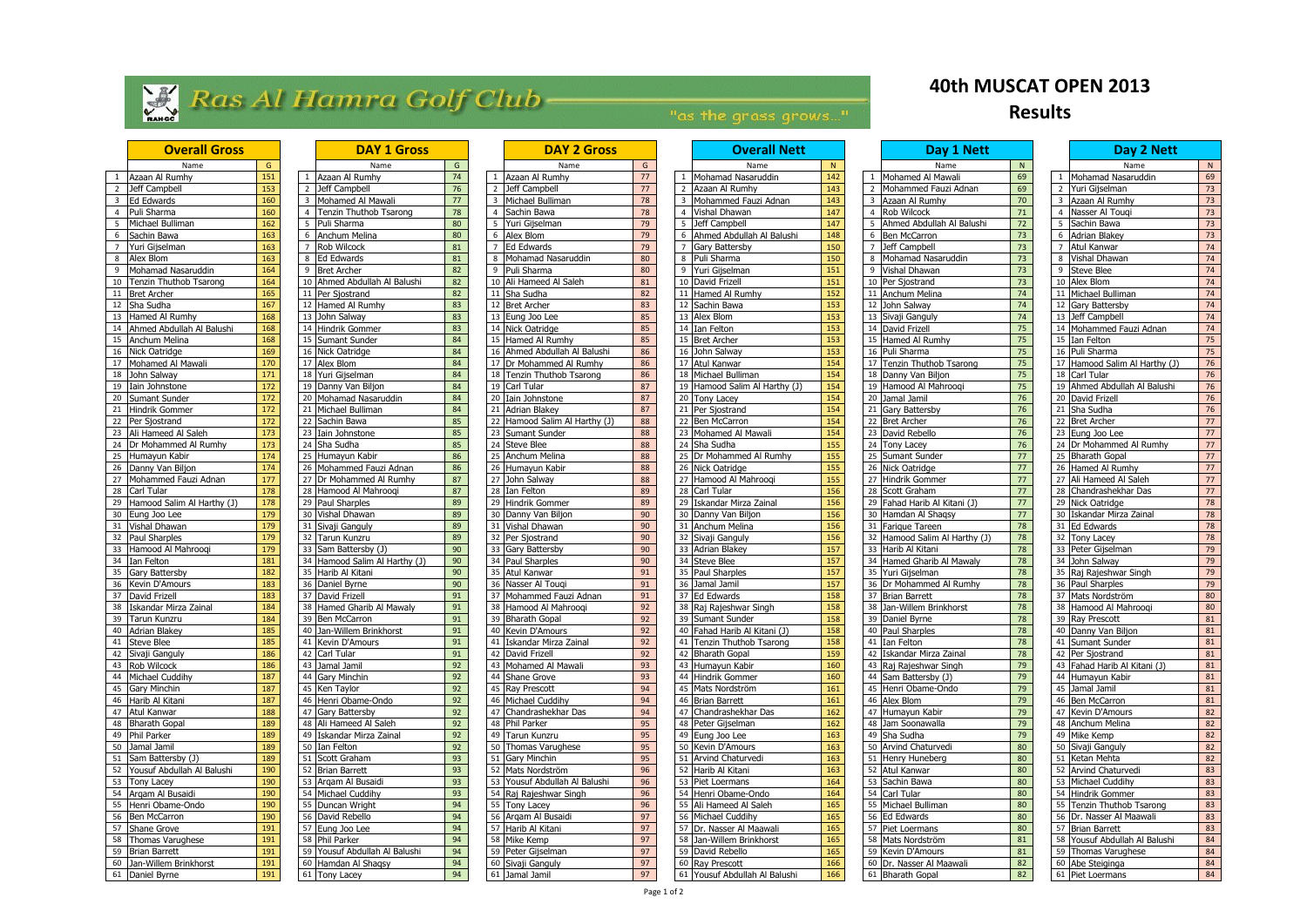# Ras Al Hamra Golf Club

## "as the grass grows..."

|                 | Name                            | G   |
|-----------------|---------------------------------|-----|
| 1               |                                 | 151 |
| $\overline{2}$  | Azaan Al Rumhy<br>Jeff Campbell | 153 |
| 3               |                                 |     |
| 4               | Ed Edwards                      | 160 |
|                 | Puli Sharma                     | 160 |
| 5               | Michael Bulliman                | 162 |
| 6               | Sachin Bawa                     | 163 |
| 7               | Yuri Gijselman                  | 163 |
| 8               | Alex Blom                       | 163 |
| 9               | Mohamad Nasaruddin              | 164 |
| 10              | Tenzin Thuthob Tsarong          | 164 |
| 11              | <b>Bret Archer</b>              | 165 |
| 12              | Sha Sudha                       | 167 |
| 13              | Hamed Al Rumhy                  | 168 |
| 14              | Ahmed Abdullah Al Balushi       | 168 |
| 15              | Anchum Melina                   | 168 |
| 16              | Nick Oatridge                   | 169 |
| 17              | Mohamed Al Mawali               | 170 |
| 18              | John Salway                     | 171 |
|                 | Iain Johnstone                  |     |
| 19              |                                 | 172 |
| 20              | Sumant Sunder                   | 172 |
| 21              | Hindrik Gommer                  | 172 |
| $\overline{22}$ | Per Sjostrand                   | 172 |
| 23              | Ali Hameed Al Saleh             | 173 |
| _<br>24         | Dr Mohammed Al Rumhy            | 173 |
| 25              | Humayun Kabir                   | 174 |
| $\overline{26}$ | Danny Van Biljon                | 174 |
| 27              | Mohammed Fauzi Adnan            | 177 |
| 28              | Carl Tular                      | 178 |
| 29              | Hamood Salim Al Harthy (J)      | 178 |
| 30              | Eung Joo Lee                    | 179 |
| 31              | Vishal Dhawan                   | 179 |
| 32              | Paul Sharples                   | 179 |
| 33              | Hamood Al Mahrooqi              | 179 |
| 34              |                                 |     |
|                 | Ian Felton                      | 181 |
| 35              | Gary Battersby                  | 182 |
| 36              | Kevin D'Amours                  | 183 |
| 37              | David Frizell                   | 183 |
| 38              | Iskandar Mirza Zainal           | 184 |
| 39              | Tarun Kunzru                    | 184 |
| 40              | <b>Adrian Blakey</b>            | 185 |
| 41              | <b>Steve Blee</b>               | 185 |
| 42              | Sivaji Ganguly                  | 186 |
| 43              | Rob Wilcock                     | 186 |
| 44              | Michael Cuddihy                 | 187 |
| 45              | <b>Gary Minchin</b>             | 187 |
| 46              | Harib Al Kitani                 | 187 |
| 47              | Atul Kanwar                     | 188 |
| 48              | <b>Bharath Gopal</b>            | 189 |
| 49              |                                 |     |
|                 | Phil Parker                     | 189 |
| 50              | Jamal Jamil                     | 189 |
| 51              | Sam Battersby (J)               | 189 |
| 52              | Yousuf Abdullah Al Balushi      | 190 |
| 53              | <b>Tony Lacey</b>               | 190 |
| 54              | Arqam Al Busaidi                | 190 |
| 55              | Henri Obame-Ondo                | 190 |
| 56              | <b>Ben McCarron</b>             | 190 |
| 57              | Shane Grove                     | 191 |
| 58              | Thomas Varughese                | 191 |
| 59              | <b>Brian Barrett</b>            | 191 |
| 60              | Jan-Willem Brinkhorst           | 191 |
| 61              | Daniel Burne                    | 101 |

|                | DAY 1 Gross                                   |          |
|----------------|-----------------------------------------------|----------|
|                | Name                                          | G        |
| $\mathbf 1$    | Azaan Al Rumhy                                | 74       |
| $\overline{2}$ | Jeff Campbell                                 | 76       |
| 3              | Mohamed Al Mawali                             | 77       |
| 4              | Tenzin Thuthob Tsarong                        | 78       |
| 5              | Puli Sharma                                   | 80       |
| 6              | Anchum Melina                                 | 80       |
| 7              | Rob Wilcock                                   | 81       |
| 8              | <b>Ed Edwards</b>                             | 81       |
| 9              | <b>Bret Archer</b>                            | 82       |
| 10             | Ahmed Abdullah Al Balushi                     | 82       |
| 11             | Per Sjostrand                                 | 82       |
| 12             | Hamed Al Rumhy                                | 83       |
| 13             | John Salway                                   | 83       |
| 14             | Hindrik Gommer                                | 83       |
| 15             | Sumant Sunder                                 | 84       |
| 16             | Nick Oatridge                                 | 84       |
| 17             | Alex Blom                                     | 84       |
| 18             | Yuri Gijselman                                | 84       |
| 19             | Danny Van Biljon                              | 84       |
| 20             | Mohamad Nasaruddin                            | 84       |
| 21             | Michael Bulliman                              | 84       |
| 22             | Sachin Bawa                                   | 85       |
| 23             | Iain Johnstone                                | 85       |
| 24             | Sha Sudha                                     | 85       |
| 25             | Humayun Kabir                                 | 86       |
| 26             | Mohammed Fauzi Adnan                          | 86       |
| 27             | Dr Mohammed Al Rumhy                          | 87       |
| 28             | Hamood Al Mahrooqi                            | 87       |
| 29             | Paul Sharples                                 | 89       |
| 30             | Vishal Dhawan                                 | 89       |
| 31             | Sivaji Ganguly                                | 89       |
| 32<br>33       | Tarun Kunzru                                  | 89<br>90 |
| 34             | Sam Battersby (J)                             | 90       |
| 35             | Hamood Salim Al Harthy (J)<br>Harib Al Kitani | 90       |
| 36             | Daniel Byrne                                  | 90       |
| 37             | David Frizell                                 | 91       |
| 38             | Hamed Gharib Al Mawaly                        | 91       |
| 39             | Ben McCarron                                  | 91       |
| 40             | Jan-Willem Brinkhorst                         | 91       |
| 41             | Kevin D'Amours                                | 91       |
| 42             | Carl Tular                                    | 91       |
| 43             | Jamal Jamil                                   | 92       |
| 44             | Gary Minchin                                  | 92       |
| 45             | Ken Taylor                                    | 92       |
| 46             | Henri Obame-Ondo                              | 92       |
| 47             | Gary Battersby                                | 92       |
| 48             | Ali Hameed Al Saleh                           | 92       |
| 49             | Iskandar Mirza Zainal                         | 92       |
| 50             | Ian Felton                                    | 92       |
| 51             | Scott Graham                                  | 93       |
| 52             | <b>Brian Barrett</b>                          | 93       |
| 53             | Argam Al Busaidi                              | 93       |
| 54             | Michael Cuddihy                               | 93       |
| 55             | Duncan Wright                                 | 94       |
| 56             | David Rebello                                 | 94       |
| 57             | Eung Joo Lee                                  | 94       |
| 58             | Phil Parker                                   | 94       |
| 59             | Yousuf Abdullah Al Balushi                    | 94       |
| 60             | Hamdan Al Shaqsy                              | 94       |
|                |                                               |          |

|                | DAY 2 Gross                      |          |
|----------------|----------------------------------|----------|
|                | Name                             | G        |
| 1              | Azaan Al Rumhy                   | 77       |
| $\overline{c}$ | Jeff Campbell                    | 77       |
| 3              | Michael Bulliman                 | 78       |
| 4              | Sachin Bawa                      | 78       |
| 5              | Yuri Gijselman                   | 79       |
| 6              | Alex Blom                        | 79       |
| $\overline{7}$ | <b>Ed Edwards</b>                | 79       |
| 8              | Mohamad Nasaruddin               | 80       |
| 9              | Puli Sharma                      | 80       |
| 10             | Ali Hameed Al Saleh              | 81       |
| 11             | Sha Sudha                        | 82       |
| 12             | <b>Bret Archer</b>               | 83       |
| 13             | Eung Joo Lee                     | 85       |
| 14             | Nick Oatridge                    | 85       |
| 15             | Hamed Al Rumhy                   | 85       |
| 16             | Ahmed Abdullah Al Balushi        | 86       |
| 17             | Dr Mohammed Al Rumhy             | 86       |
| 18             | Tenzin Thuthob Tsarong           | 86       |
| 19             | Carl Tular                       | 87       |
| 20             | Iain Johnstone                   | 87       |
| 21             | Adrian Blakey                    | 87       |
| 22             | Hamood Salim Al Harthy (J)       | 88       |
| 23             | Sumant Sunder                    | 88       |
| 24             | <b>Steve Blee</b>                | 88       |
| 25             | Anchum Melina                    | 88       |
| 26             | Humayun Kabir                    | 88       |
| 27             | John Salway                      | 88       |
| 28             | Ian Felton                       | 89       |
| 29             | Hindrik Gommer                   | 89       |
| 30             | Danny Van Biljon                 | 90       |
| 31             | Vishal Dhawan                    | 90       |
| 32             | Per Sjostrand                    | 90       |
| 33             | Gary Battersby                   | 90       |
| 34             | Paul Sharples                    | 90       |
| 35             | Atul Kanwar                      | 91       |
| 36             | Nasser Al Touqi                  | 91       |
| 37             | Mohammed Fauzi Adnan             | 91       |
| 38             | Hamood Al Mahrooqi               | 92       |
| 39             | <b>Bharath Gopal</b>             | 92       |
| 40             | Kevin D'Amours                   | 92       |
| 41             | Iskandar Mirza Zainal            | 92       |
| 42             | David Frizell                    | 92       |
| 43             | Mohamed Al Mawali                | 93       |
| 44             | Shane Grove                      | 93       |
| 45             | Ray Prescott                     | 94       |
| 46             | Michael Cuddihy                  | 94<br>94 |
| 47<br>48       | Chandrashekhar Das               | 95       |
|                | Phil Parker                      |          |
| 49<br>50       | Tarun Kunzru<br>Thomas Varughese | 95<br>95 |
| 51             | Gary Minchin                     |          |
| 52             | Mats Nordström                   | 95<br>96 |
| 53             | Yousuf Abdullah Al Balushi       |          |
| 54             | Raj Rajeshwar Singh              | 96<br>96 |
| 55             | <b>Tony Lacey</b>                | 96       |
| 56             | Arqam Al Busaidi                 | 97       |
| 57             | Harib Al Kitani                  | 97       |
| 58             | Mike Kemp                        | 97       |
| 59             | Peter Gijselman                  | 97       |
| 60             | Sivaji Ganguly                   | 97       |
|                |                                  |          |

| <b>Overall Gross</b> |                               | <b>DAY 1 Gross</b> |    |                                |                  | <b>DAY 2 Gross</b> |                                                    | <b>Overall Nett</b> |                                        |     | Day 1 Nett      |                               | Day 2 Nett |                                            |                 |
|----------------------|-------------------------------|--------------------|----|--------------------------------|------------------|--------------------|----------------------------------------------------|---------------------|----------------------------------------|-----|-----------------|-------------------------------|------------|--------------------------------------------|-----------------|
|                      | Name                          | G                  |    | Name                           | G                |                    | Name                                               | G                   | Name                                   |     |                 | Name                          | N          | Name                                       | - N             |
|                      | Azaan Al Rumhy                | 151                |    | Azaan Al Rumhy                 | 74               |                    | Azaan Al Rumhy                                     | 77                  | Mohamad Nasaruddin                     | 142 |                 | Mohamed Al Mawali             | 69         | Mohamad Nasaruddin                         | 69              |
|                      | Jeff Campbell                 | 153                |    | Jeff Campbell                  | 76               | $\overline{2}$     | Jeff Campbell                                      | 77                  | Azaan Al Rumhy<br>$\overline{2}$       | 143 | $\overline{2}$  | Mohammed Fauzi Adnan          | 69         | 2 Yuri Gijselman                           | 73              |
|                      | Ed Edwards                    | 160                |    | Mohamed Al Mawali              | 77               |                    | Michael Bulliman                                   | 78                  | Mohammed Fauzi Adnan<br>$\overline{3}$ | 143 | $\overline{3}$  | Azaan Al Rumhy                | 70         | 3 Azaan Al Rumhy                           | 73              |
|                      | Puli Sharma                   | 160                |    | Tenzin Thuthob Tsarong         | 78               |                    | Sachin Bawa                                        | 78                  | Vishal Dhawan                          | 147 | 4               | Rob Wilcock                   | 71         | Nasser Al Tougi                            | 73              |
|                      |                               | $\frac{162}{162}$  |    | Puli Sharma                    | 80               |                    |                                                    | 79                  | -5<br>Jeff Campbell                    | 147 |                 | Ahmed Abdullah Al Balushi     | $72\,$     | Sachin Bawa                                | 73              |
|                      | Michael Bulliman              |                    |    | Anchum Melina                  |                  |                    | Yuri Gijselman                                     |                     | Ahmed Abdullah Al Balushi<br>6         |     | 6               |                               |            |                                            |                 |
|                      | Sachin Bawa                   | 163                |    |                                | 80               |                    | 6 Alex Blom                                        | 79                  |                                        | 148 |                 | <b>Ben McCarron</b>           | 73         | 6 Adrian Blakey                            | 73              |
|                      | Yuri Gijselman                | 163                |    | Rob Wilcock                    | 81               |                    | <b>Ed Edwards</b>                                  | 79                  | Gary Battersby                         | 150 | $\overline{7}$  | Jeff Campbell                 | 73         | 7 Atul Kanwar                              | 74              |
|                      | Alex Blom                     | 163                |    | <b>Ed Edwards</b>              | 81               |                    | Mohamad Nasaruddin                                 | 80                  | Puli Sharma<br>8                       | 150 | 8               | Mohamad Nasaruddin            | 73         | Vishal Dhawan                              | 74              |
|                      | Mohamad Nasaruddin            | 164                | -9 | <b>Bret Archer</b>             | 82               | -9                 | Puli Sharma                                        | 80                  | 9 Yuri Gijselman                       | 151 | 9               | Vishal Dhawan                 | 73         | 9 Steve Blee                               | 74              |
| ۱0                   | Tenzin Thuthob Tsarong        | 164                |    | 10 Ahmed Abdullah Al Balushi   | 82               |                    | 10 Ali Hameed Al Saleh                             | 81                  | 10 David Frizell                       | 151 |                 | 10 Per Sjostrand              | 73         | 10 Alex Blom                               | 74              |
| 11                   | <b>Bret Archer</b>            | 165                |    | 11 Per Sjostrand               | 82               |                    | 11 Sha Sudha                                       | 82                  | 11 Hamed Al Rumhy                      | 152 |                 | 11 Anchum Melina              | 74         | 11 Michael Bulliman                        | 74              |
|                      | Sha Sudha                     | 167                |    | 12 Hamed Al Rumhy              | 83               |                    | 12 Bret Archer                                     | 83                  | 12<br>Sachin Bawa                      | 153 | 12              | John Salway                   | 74         | 12 Gary Battersby                          | 74              |
| 13                   | Hamed Al Rumhy                | 168                |    | 13 John Salway                 | 83               |                    | 13 Eung Joo Lee                                    | 85                  | 13 Alex Blom                           | 153 |                 | 13 Sivaji Ganguly             | 74         | 13 Jeff Campbell                           | 74              |
|                      | Ahmed Abdullah Al Balushi     | 168                |    | 14 Hindrik Gommer              | 83               |                    | 14 Nick Oatridge                                   | 85                  | 14 Ian Felton                          | 153 |                 | 14 David Frizell              | 75         | 14 Mohammed Fauzi Adnan                    | 74              |
| 15                   | Anchum Melina                 | 168                |    | 15 Sumant Sunder               | 84               |                    | 15 Hamed Al Rumhy                                  | 85                  | 15 Bret Archer                         | 153 |                 | 15 Hamed Al Rumhy             | 75         | 15 Ian Felton                              | 75              |
| 16                   | Nick Oatridge                 | 169                |    | 16 Nick Oatridge               | 84               |                    | 16 Ahmed Abdullah Al Balushi                       | 86                  | 16 John Salway                         | 153 |                 | 16 Puli Sharma                | 75         | 16 Puli Sharma                             | 75              |
|                      | Mohamed Al Mawali             | 170                |    | 17 Alex Blom                   | 84               |                    | 17 Dr Mohammed Al Rumhy                            | 86                  | Atul Kanwar<br>17                      | 154 | 17              | Tenzin Thuthob Tsarong        | 75         | 17 Hamood Salim Al Harthy (J)              | 76              |
| 18                   | John Salway                   | 171                |    | 18 Yuri Gijselman              | 84               |                    | 18 Tenzin Thuthob Tsarong                          | 86                  | 18 Michael Bulliman                    | 154 | 18 <sup>1</sup> | Danny Van Biljon              | 75         | 18 Carl Tular                              | 76              |
| 19                   | Iain Johnstone                | $\frac{172}{ }$    |    | 19 Danny Van Biljon            | 84               |                    | 19 Carl Tular                                      | 87                  | Hamood Salim Al Harthy (J)<br>19       | 154 | 19              | Hamood Al Mahroogi            | 75         | 19 Ahmed Abdullah Al Balushi               | 76              |
| 20                   | Sumant Sunder                 | 172                |    | 20 Mohamad Nasaruddin          | 84               |                    | 20 Iain Johnstone                                  | 87                  | 20 Tony Lacey                          | 154 | 20 <sub>1</sub> | Jamal Jamil                   | 76         | 20 David Frizell                           | 76              |
| 21                   | Hindrik Gommer                | 172                |    | 21 Michael Bulliman            | 84               |                    | 21 Adrian Blakey                                   | 87                  | 21<br>Per Sjostrand                    | 154 | 21              | Gary Battersby                | 76         | 21 Sha Sudha                               | 76              |
|                      | 22 Per Sjostrand              | 172                |    | 22 Sachin Bawa                 | 85               |                    | 22 Hamood Salim Al Harthy (J)                      | 88                  | 22 Ben McCarron                        | 154 |                 | 22 Bret Archer                | 76         | 22 Bret Archer                             | 77              |
|                      | 23 Ali Hameed Al Saleh        | 173                |    | $\overline{23}$ Iain Johnstone | 85               |                    | 23 Sumant Sunder                                   | 88                  | 23<br>Mohamed Al Mawali                | 154 | 23              | David Rebello                 | 76         | 23 Eung Joo Lee                            | 77              |
| 24                   | Dr Mohammed Al Rumhy          | 173                |    | 24 Sha Sudha                   | 85               |                    | 24 Steve Blee                                      | 88                  | 24<br>Sha Sudha                        | 155 |                 | 24 Tony Lacey                 | 76         | 24 Dr Mohammed Al Rumhy                    | 77              |
|                      | 25 Humayun Kabir              | 174                |    | 25 Humayun Kabir               | 86               |                    | 25 Anchum Melina                                   | 88                  | 25 Dr Mohammed Al Rumhy                | 155 |                 | 25 Sumant Sunder              | 77         | 25 Bharath Gopal                           | 77              |
| 26                   | Danny Van Biljon              | 174                |    | 26 Mohammed Fauzi Adnan        | 86               |                    | 26 Humayun Kabir                                   | 88                  | 26<br>Nick Oatridge                    | 155 |                 | 26 Nick Oatridge              | 77         | 26 Hamed Al Rumhy                          | 77              |
| 27                   | Mohammed Fauzi Adnan          | 177                |    | 27 Dr Mohammed Al Rumhy        | 87               |                    | 27 John Salway                                     | 88                  | 27 Hamood Al Mahrooqi                  | 155 |                 | 27 Hindrik Gommer             | 77         | 27 Ali Hameed Al Saleh                     | 77              |
| 28                   | Carl Tular                    | 178                |    | 28 Hamood Al Mahroogi          | 87               |                    | 28 Ian Felton                                      | 89                  | 28 Carl Tular                          | 156 |                 | 28 Scott Graham               | 77         | 28 Chandrashekhar Das                      | 77              |
| 29                   | Hamood Salim Al Harthy (J)    | 178                |    | 29 Paul Sharples               | 89               |                    | 29 Hindrik Gommer                                  | 89                  | Iskandar Mirza Zainal<br>29            | 156 |                 | 29 Fahad Harib Al Kitani (J)  | 77         | 29 Nick Oatridge                           | 78              |
| 30                   | Eung Joo Lee                  | 179                |    | 30 Vishal Dhawan               | 89               |                    | 30 Danny Van Biljon                                | 90                  | Danny Van Biljon<br>30                 | 156 |                 | 30 Hamdan Al Shaqsy           | 77         | 30 Iskandar Mirza Zainal                   | 78              |
| 31                   | Vishal Dhawan                 | 179                |    | 31 Sivaji Ganguly              | 89               |                    | 31 Vishal Dhawan                                   | 90                  | 31 Anchum Melina                       | 156 |                 | 31 Farique Tareen             | 78         | 31 Ed Edwards                              | 78              |
| 32                   | Paul Sharples                 | 179                |    | 32 Tarun Kunzru                | 89               |                    | 32 Per Sjostrand                                   | 90                  | 32 Sivaji Ganguly                      | 156 |                 | 32 Hamood Salim Al Harthy (J) | 78         | 32 Tony Lacey                              | 78              |
| 33                   | Hamood Al Mahrooqi            | 179                |    | 33 Sam Battersby (J)           | 90               |                    | 33 Gary Battersby                                  | 90                  | 33 Adrian Blakey                       | 157 |                 | 33 Harib Al Kitani            | 78         | 33 Peter Gijselman                         | 79              |
| 34                   | Ian Felton                    | 181                | 34 | Hamood Salim Al Harthy (J)     | 90               |                    | 34 Paul Sharples                                   | 90                  | 34<br>Steve Blee                       | 157 | 34              | Hamed Gharib Al Mawaly        | 78         | 34 John Salway                             | 79              |
| 35                   | Gary Battersby                | 182                |    | 35 Harib Al Kitani             | 90               |                    | 35 Atul Kanwar                                     | 91                  | 35 Paul Sharples                       | 157 |                 | 35 Yuri Gijselman             | 78         | 35 Raj Rajeshwar Singh                     | 79              |
| 36                   | Kevin D'Amours                | 183                |    | 36 Daniel Byrne                | 90               |                    | 36 Nasser Al Tougi                                 | 91                  | 36 Jamal Jamil                         | 157 |                 | 36 Dr Mohammed Al Rumhy       | 78         | 36 Paul Sharples                           | 79              |
| 37                   | David Frizell                 | 183                |    | 37 David Frizell               | 91               |                    | 37 Mohammed Fauzi Adnan                            | 91                  | 37 Ed Edwards                          | 158 |                 | 37 Brian Barrett              | 78         | 37 Mats Nordström                          | 80              |
| 38                   | Iskandar Mirza Zainal         | 184                | 38 | Hamed Gharib Al Mawaly         | 91               |                    | 38 Hamood Al Mahrooqi                              | 92                  | 38<br>Raj Rajeshwar Singh              | 158 | 38              | Jan-Willem Brinkhorst         | 78         | 38 Hamood Al Mahrooqi                      | 80              |
|                      | 39 Tarun Kunzru               | 184                |    | 39 Ben McCarron                | 91               |                    | 39 Bharath Gopal                                   | 92                  | 39 Sumant Sunder                       | 158 |                 | 39 Daniel Byrne               | 78         | 39 Ray Prescott                            | 81              |
|                      | 40 Adrian Blakey              | 185                |    | 40 Jan-Willem Brinkhorst       | 91               |                    | 40 Kevin D'Amours                                  | 92                  | 40 Fahad Harib Al Kitani (J)           | 158 |                 | 40 Paul Sharples              | 78         | 40 Danny Van Biljon                        | 81              |
|                      | 41 Steve Blee                 | 185                |    | 41 Kevin D'Amours              | 91               |                    | 41 Iskandar Mirza Zainal                           | 92                  | 41 Tenzin Thuthob Tsarong              | 158 |                 | 41 Ian Felton                 | 78         | 41 Sumant Sunder                           | 81              |
|                      | 42 Sivaji Ganguly             | 186                |    | 42 Carl Tular                  | 91               |                    | 42 David Frizell                                   | 92                  | 42 Bharath Gopal                       | 159 |                 | 42 Iskandar Mirza Zainal      | 78         | 42 Per Sjostrand                           | 81              |
|                      | 43 Rob Wilcock                | 186                |    | 43 Jamal Jamil                 | 92               |                    | 43 Mohamed Al Mawali                               | 93                  | 43 Humayun Kabir                       | 160 |                 | 43 Raj Rajeshwar Singh        | 79         | 43 Fahad Harib Al Kitani (J)               | 81              |
|                      | 44 Michael Cuddihy            | 187                |    | 44 Gary Minchin                | 92               |                    | 44 Shane Grove                                     | 93                  | 44 Hindrik Gommer                      | 160 |                 | 44 Sam Battersby (J)          | 79         | 44 Humayun Kabir                           | 81              |
|                      | 45 Gary Minchin               | 187                |    | 45 Ken Taylor                  | 92               |                    | 45 Ray Prescott                                    | 94                  | 45 Mats Nordström                      | 161 |                 | 45 Henri Obame-Ondo           | 79         | 45 Jamal Jamil                             | 81              |
|                      | 46 Harib Al Kitani            | 187                |    | 46 Henri Obame-Ondo            | 92               |                    | 46 Michael Cuddihy                                 | 94                  | 46 Brian Barrett                       | 161 |                 | 46 Alex Blom                  | 79         | 46 Ben McCarron                            | 81              |
|                      | 47 Atul Kanwar                | 188                |    | 47 Gary Battersby              | 92               |                    | 47 Chandrashekhar Das                              | 94                  | Chandrashekhar Das<br>47               | 162 |                 | 47 Humayun Kabir              | 79         | 47 Kevin D'Amours                          | 82              |
|                      | 48 Bharath Gopal              | 189                |    | 48 Ali Hameed Al Saleh         | 92               |                    | 48 Phil Parker                                     | 95                  | 48 Peter Gijselman                     | 162 |                 | 48 Jam Soonawalla             | 79         | 48 Anchum Melina                           | 82              |
|                      | 49 Phil Parker                | 189                |    | 49 Iskandar Mirza Zainal       | 92               |                    | 49 Tarun Kunzru                                    | 95                  | 49 Eung Joo Lee                        | 163 |                 | 49 Sha Sudha                  | 79         | 49 Mike Kemp                               | 82              |
|                      | 50 Jamal Jamil                | 189                |    | 50 Ian Felton                  | 92               |                    | 50 Thomas Varughese                                | 95                  | 50 Kevin D'Amours                      | 163 |                 | 50 Arvind Chaturvedi          | 80         | 50 Sivaji Ganguly                          | 82              |
|                      | 51 Sam Battersby (J)          | 189                |    |                                | 93               |                    | 51 Gary Minchin                                    | 95                  | 51 Arvind Chaturvedi                   | 163 |                 | 51 Henry Huneberg             | 80         | 51 Ketan Mehta                             | 82              |
|                      |                               |                    |    | 51 Scott Graham                |                  |                    |                                                    |                     |                                        |     |                 |                               |            |                                            |                 |
|                      | 52 Yousuf Abdullah Al Balushi | 190                |    | 52 Brian Barrett               | 93               |                    | 52 Mats Nordström<br>53 Yousuf Abdullah Al Balushi | 96                  | 52 Harib Al Kitani                     | 163 |                 | 52 Atul Kanwar                | 80         | 52 Arvind Chaturvedi<br>53 Michael Cuddihy | 83              |
|                      | 53 Tony Lacey                 | 190                |    | 53 Argam Al Busaidi            | 93               |                    |                                                    | 96                  | 53 Piet Loermans                       | 164 |                 | 53 Sachin Bawa                | 80         |                                            | 83              |
|                      | 54 Arqam Al Busaidi           | 190                |    | 54 Michael Cuddihy             | 93               |                    | 54 Raj Rajeshwar Singh                             | 96                  | 54 Henri Obame-Ondo                    | 164 |                 | 54 Carl Tular                 | 80         | 54 Hindrik Gommer                          | 83              |
|                      | 55 Henri Obame-Ondo           | 190                |    | 55 Duncan Wright               | 94               |                    | 55 Tony Lacey                                      | 96                  | 55 Ali Hameed Al Saleh                 | 165 |                 | 55 Michael Bulliman           | 80         | 55 Tenzin Thuthob Tsarong                  | 83              |
|                      | 56 Ben McCarron               | 190                |    | 56 David Rebello               | 94               |                    | 56 Argam Al Busaidi                                | 97                  | 56 Michael Cuddihy                     | 165 |                 | 56 Ed Edwards                 | 80         | 56 Dr. Nasser Al Maawali                   | 83              |
|                      | 57 Shane Grove                | 191                |    | 57 Eung Joo Lee                | 94               |                    | 57 Harib Al Kitani                                 | 97                  | 57 Dr. Nasser Al Maawali               | 165 |                 | 57 Piet Loermans              | 80         | 57 Brian Barrett                           | 83              |
|                      | 58 Thomas Varughese           | 191                |    | 58 Phil Parker                 | 94               |                    | 58 Mike Kemp                                       | 97                  | 58 Jan-Willem Brinkhorst               | 165 |                 | 58 Mats Nordström             | 81         | 58 Yousuf Abdullah Al Balushi              | 84              |
|                      | 59 Brian Barrett              | 191                |    | 59 Yousuf Abdullah Al Balushi  | 94               |                    | 59 Peter Gijselman                                 | 97                  | 59 David Rebello                       | 165 |                 | 59 Kevin D'Amours             | 81         | 59 Thomas Varughese                        | 84              |
|                      | 60 Jan-Willem Brinkhorst      | 191                |    | 60 Hamdan Al Shaqsy            | 94               |                    | 60 Sivaji Ganguly                                  | 97                  | 60 Ray Prescott                        | 166 |                 | 60 Dr. Nasser Al Maawali      | 82         | 60 Abe Steiginga                           | 84              |
|                      | 61 Daniel Byrne               | $191$              |    | 61 Tony Lacev                  | $Q_{\mathbf{A}}$ |                    | 61 Jamal Jamil                                     | Q7                  | 61 Yousuf Abdullah Al Balushi          | 166 |                 | 61 Rharath Gonal              | 82         | 61 Piet Loermans                           | $\overline{80}$ |

| <b>Overall Gross</b>           |     | <b>DAY 1 Gross</b>                    |        |                | <b>DAY 2 Gross</b>            |    |                | <b>Overall Nett</b>                             |                  |                | Day 1 Nett                   |                 |
|--------------------------------|-----|---------------------------------------|--------|----------------|-------------------------------|----|----------------|-------------------------------------------------|------------------|----------------|------------------------------|-----------------|
| Name                           | G   | Name                                  | G      |                | Name                          | G  |                | Name                                            | N                |                | Name                         | N               |
| Azaan Al Rumhy<br>1            | 151 | Azaan Al Rumhy<br>1                   | 74     |                | Azaan Al Rumhy                | 77 | $\mathbf{1}$   | Mohamad Nasaruddin                              | 142              |                | Mohamed Al Mawali            | 69              |
| 2 Jeff Campbell                | 153 | 2 Jeff Campbell                       | 76     | $\overline{2}$ | Jeff Campbell                 | 77 | $\overline{2}$ | Azaan Al Rumhy                                  | 143              | $\overline{2}$ | Mohammed Fauzi Adnan         | 69              |
| <b>Ed Edwards</b><br>3         | 160 | Mohamed Al Mawali<br>$\overline{3}$   | 77     | 3              | Michael Bulliman              | 78 | 3              | Mohammed Fauzi Adnan                            | 143              | 3              | Azaan Al Rumhy               | 70              |
| Puli Sharma<br>4               | 160 | 4 Tenzin Thuthob Tsarong              | 78     | 4              | Sachin Bawa                   | 78 | $\overline{4}$ | Vishal Dhawan                                   | 147              |                | Rob Wilcock                  | 71              |
| Michael Bulliman               | 162 | $5^{\circ}$<br>Puli Sharma            | 80     | 5              | Yuri Gijselman                | 79 | 5              | Jeff Campbell                                   | 147              | 5              | Ahmed Abdullah Al Balushi    | 72              |
| Sachin Bawa<br>6               | 163 | Anchum Melina<br>6                    | 80     | 6              | Alex Blom                     | 79 | 6              | Ahmed Abdullah Al Balushi                       | 148              | 6              | Ben McCarron                 | 73              |
| Yuri Gijselman                 | 163 | Rob Wilcock                           | 81     |                | Ed Edwards                    | 79 | $\overline{7}$ | Gary Battersby                                  | 150              |                | Jeff Campbell                | 73              |
| Alex Blom                      | 163 | <b>Ed Edwards</b><br>8                | 81     | 8              | Mohamad Nasaruddin            | 80 | 8              | Puli Sharma                                     | 150              |                | Mohamad Nasaruddin           | $\overline{73}$ |
| Mohamad Nasaruddin             | 164 | <b>Bret Archer</b><br>9               | 82     | 9              | Puli Sharma                   | 80 | 9              | Yuri Gijselman                                  | 151              | 9              | Vishal Dhawan                | 73              |
| Tenzin Thuthob Tsarong<br>10   | 164 | Ahmed Abdullah Al Balushi<br>10       | 82     |                | 10 Ali Hameed Al Saleh        | 81 | 10             | David Frizell                                   | 151              |                | 10 Per Sjostrand             | $\overline{73}$ |
|                                | 165 |                                       | 82     |                | 11 Sha Sudha                  | 82 |                | 11 Hamed Al Rumhy                               | 152              |                | 11 Anchum Melina             | 74              |
| <b>Bret Archer</b><br>11<br>12 | 167 | 11 Per Sjostrand<br>12 Hamed Al Rumhy | 83     |                | 12 Bret Archer                | 83 | 12             |                                                 | $\overline{153}$ | 12             |                              | 74              |
| Sha Sudha                      | 168 | 13 John Salway                        |        |                |                               |    |                | Sachin Bawa<br>13 Alex Blom                     | 153              |                | John Salway                  |                 |
| Hamed Al Rumhy<br>13           |     |                                       | 83     |                | 13 Eung Joo Lee               | 85 |                |                                                 |                  |                | 13 Sivaji Ganguly            | 74              |
| Ahmed Abdullah Al Balushi      | 168 | 14 Hindrik Gommer                     | 83     |                | 14 Nick Oatridge              | 85 |                | 14 Ian Felton                                   | 153              |                | 14 David Frizell             | 75              |
| Anchum Melina<br>15            | 168 | 15 Sumant Sunder                      | 84     |                | 15 Hamed Al Rumhy             | 85 |                | 15 Bret Archer                                  | $\overline{153}$ |                | 15 Hamed Al Rumhy            | 75              |
| Nick Oatridge<br>16            | 169 | 16 Nick Oatridge                      | 84     |                | 16 Ahmed Abdullah Al Balushi  | 86 |                | 16 John Salway                                  | 153              | 16             | Puli Sharma                  | 75              |
| Mohamed Al Mawali<br>17        | 170 | 17 Alex Blom                          | 84     |                | 17 Dr Mohammed Al Rumhy       | 86 |                | 17 Atul Kanwar                                  | 154              | 17             | Tenzin Thuthob Tsarong       | 75              |
| John Salway<br>18              | 171 | 18 Yuri Gijselman                     | 84     | 18             | Tenzin Thuthob Tsarong        | 86 | 18             | Michael Bulliman                                | 154              |                | 18 Danny Van Biljon          | 75              |
| Iain Johnstone<br>19           | 172 | 19 Danny Van Biljon                   | 84     |                | 19 Carl Tular                 | 87 | 19             | Hamood Salim Al Harthy (J)                      | 154              | 19             | Hamood Al Mahroogi           | 75              |
| Sumant Sunder<br>20            | 172 | 20 Mohamad Nasaruddin                 | 84     |                | 20 Iain Johnstone             | 87 |                | 20 Tony Lacey                                   | 154              | 20             | Jamal Jamil                  | 76              |
| 21 Hindrik Gommer              | 172 | 21 Michael Bulliman                   | 84     |                | 21 Adrian Blakey              | 87 |                | 21 Per Sjostrand                                | 154              | 21             | Gary Battersby               | 76              |
| 22<br>Per Siostrand            | 172 | 22 Sachin Bawa                        | 85     |                | 22 Hamood Salim Al Harthy (J) | 88 |                | 22 Ben McCarron                                 | 154              | 22             | <b>Bret Archer</b>           | 76              |
| 23 Ali Hameed Al Saleh         | 173 | 23 Iain Johnstone                     | 85     | 23             | Sumant Sunder                 | 88 | 23             | Mohamed Al Mawali                               | 154              | 23             | David Rebello                | 76              |
| 24   Dr Mohammed Al Rumhy      | 173 | 24 Sha Sudha                          | 85     | 24             | <b>Steve Blee</b>             | 88 | 24             | Sha Sudha                                       | 155              | 24             | <b>Tony Lacey</b>            | 76              |
| 25 Humayun Kabir               | 174 | 25 Humayun Kabir                      | 86     |                | 25 Anchum Melina              | 88 |                | 25 Dr Mohammed Al Rumhy                         | 155              | 25             | <b>Sumant Sunder</b>         | 77              |
| Danny Van Biljon<br>26         | 174 | 26 Mohammed Fauzi Adnan               | 86     |                | 26 Humayun Kabir              | 88 |                | 26 Nick Oatridge                                | 155              | 26             | Nick Oatridge                | 77              |
| 27<br>Mohammed Fauzi Adnan     | 177 | 27 Dr Mohammed Al Rumhy               | 87     | 27             | John Salway                   | 88 | 27             | Hamood Al Mahrooqi                              | 155              |                | 27 Hindrik Gommer            | 77              |
| Carl Tular<br>28               | 178 | 28 Hamood Al Mahrooqi                 | 87     |                | 28 Ian Felton                 | 89 | 28             | Carl Tular                                      | 156              |                | 28 Scott Graham              | 77              |
| Hamood Salim Al Harthy (J)     | 178 | 29 Paul Sharples                      | 89     |                | 29 Hindrik Gommer             | 89 | 29             | Iskandar Mirza Zainal                           | 156              |                | 29 Fahad Harib Al Kitani (J) | 77              |
| 30<br>Eung Joo Lee             | 179 | 30 Vishal Dhawan                      | 89     |                | 30 Danny Van Biljon           | 90 |                | 30 Danny Van Biljon                             | 156              |                | 30 Hamdan Al Shaqsy          | 77              |
| 31<br>Vishal Dhawan            | 179 | 31 Sivaji Ganguly                     | 89     |                | 31 Vishal Dhawan              | 90 | 31             | Anchum Melina                                   | 156              |                | 31 Farique Tareen            | 78              |
| Paul Sharples<br>32            | 179 | 32 Tarun Kunzru                       | 89     |                | 32 Per Sjostrand              | 90 | 32             | Sivaji Ganguly                                  | 156              | 32             | Hamood Salim Al Harthy (J)   | 78              |
| 33 Hamood Al Mahrooqi          | 179 | 33 Sam Battersby (J)                  | 90     |                | 33 Gary Battersby             | 90 | 33             | <b>Adrian Blakey</b>                            | $\overline{157}$ | 33             | Harib Al Kitani              | 78              |
| 34<br>Ian Felton               | 181 | 34 Hamood Salim Al Harthy (J)         | 90     |                | 34 Paul Sharples              | 90 |                | 34 Steve Blee                                   | 157              |                | 34 Hamed Gharib Al Mawaly    | 78              |
| 35<br>Gary Battersby           | 182 | 35 Harib Al Kitani                    | 90     | 35             | Atul Kanwar                   | 91 | 35             | Paul Sharples                                   | 157              | 35             | Yuri Gijselman               | 78              |
| Kevin D'Amours<br>36           | 183 | Daniel Byrne<br>36                    | 90     | 36             | Nasser Al Tougi               | 91 | 36             | Jamal Jamil                                     | 157              |                | 36 Dr Mohammed Al Rumhy      | 78              |
| David Frizell<br>37            | 183 | 37 David Frizell                      | 91     |                | 37 Mohammed Fauzi Adnan       | 91 |                | 37 Ed Edwards                                   | 158              |                | 37 Brian Barrett             | 78              |
| Iskandar Mirza Zainal<br>38    | 184 | 38 Hamed Gharib Al Mawaly             | 91     |                | 38 Hamood Al Mahroogi         | 92 |                | 38 Raj Rajeshwar Singh                          | 158              | 38             | Jan-Willem Brinkhorst        | 78              |
| 39<br>Tarun Kunzru             | 184 | 39 Ben McCarron                       | 91     |                | 39 Bharath Gopal              | 92 | 39             | Sumant Sunder                                   | 158              | 39             | Daniel Byrne                 | 78              |
| <b>Adrian Blakey</b><br>40     | 185 | 40 Jan-Willem Brinkhorst              | 91     |                | 40 Kevin D'Amours             | 92 |                | 40 Fahad Harib Al Kitani (J)                    | 158              |                | 40 Paul Sharples             | 78              |
| 41 Steve Blee                  | 185 | 41 Kevin D'Amours                     | 91     |                | 41 Iskandar Mirza Zainal      | 92 |                |                                                 | 158              |                | 41 Ian Felton                | 78              |
| 42 Sivaji Ganguly              | 186 | 42 Carl Tular                         | 91     |                | 42 David Frizell              | 92 |                | 41   Tenzin Thuthob Tsarong<br>42 Bharath Gopal | 159              |                | 42 Iskandar Mirza Zainal     | 78              |
| 43 Rob Wilcock                 | 186 | 43 Jamal Jamil                        | 92     |                | 43 Mohamed Al Mawali          | 93 |                | 43 Humayun Kabir                                | 160              |                | 43 Raj Rajeshwar Singh       | 79              |
| 44 Michael Cuddihy             | 187 | 44 Gary Minchin                       | 92     |                |                               | 93 |                |                                                 | 160              |                | 44 Sam Battersby (J)         | 79              |
| 45 Gary Minchin                | 187 |                                       | 92     |                | 44 Shane Grove                | 94 |                | 44 Hindrik Gommer                               | 161              |                |                              |                 |
|                                |     | 45 Ken Taylor                         |        |                | 45 Ray Prescott               |    |                | 45 Mats Nordström                               |                  |                | 45 Henri Obame-Ondo          | 79              |
| 46 Harib Al Kitani             | 187 | 46 Henri Obame-Ondo                   | 92     |                | 46 Michael Cuddihy            | 94 |                | 46 Brian Barrett                                | 161              |                | 46 Alex Blom                 | 79              |
| 47 Atul Kanwar                 | 188 | 47 Gary Battersby                     | 92     |                | 47 Chandrashekhar Das         | 94 |                | 47 Chandrashekhar Das                           | 162              |                | 47 Humayun Kabir             | 79              |
| 48 Bharath Gopal               | 189 | 48 Ali Hameed Al Saleh                | $92\,$ |                | 48 Phil Parker                | 95 |                | 48 Peter Gijselman                              | 162              |                | 48 Jam Soonawalla            | 79              |
| 49 Phil Parker                 | 189 | 49 Iskandar Mirza Zainal              | $92\,$ | 49             | Tarun Kunzru                  | 95 |                | 49 Eung Joo Lee                                 | 163              |                | 49 Sha Sudha                 | 79              |
| 50 Jamal Jamil                 | 189 | 50 Ian Felton                         | 92     | 50             | Thomas Varughese              | 95 |                | 50 Kevin D'Amours                               | 163              |                | 50 Arvind Chaturvedi         | 80              |
| 51 Sam Battersby (J)           | 189 | 51 Scott Graham                       | 93     |                | 51 Gary Minchin               | 95 |                | 51 Arvind Chaturvedi                            | 163              |                | 51 Henry Huneberg            | 80              |
| 52 Yousuf Abdullah Al Balushi  | 190 | 52 Brian Barrett                      | 93     |                | 52 Mats Nordström             | 96 |                | 52 Harib Al Kitani                              | 163              | 52             | <b>Atul Kanwar</b>           | 80              |
| 53 Tony Lacey                  | 190 | 53 Argam Al Busaidi                   | 93     |                | 53 Yousuf Abdullah Al Balushi | 96 |                | 53 Piet Loermans                                | 164              |                | 53 Sachin Bawa               | 80              |
| 54 Argam Al Busaidi            | 190 | 54 Michael Cuddihy                    | 93     |                | 54 Raj Rajeshwar Singh        | 96 |                | 54 Henri Obame-Ondo                             | 164              |                | 54 Carl Tular                | 80              |
| 55 Henri Obame-Ondo            | 190 | 55 Duncan Wright                      | 94     |                | 55 Tony Lacey                 | 96 |                | 55 Ali Hameed Al Saleh                          | 165              |                | 55 Michael Bulliman          | 80              |
| 56 Ben McCarron                | 190 | 56 David Rebello                      | 94     |                | 56 Argam Al Busaidi           | 97 |                | 56 Michael Cuddihy                              | 165              |                | 56 Ed Edwards                | 80              |
| 57 Shane Grove                 | 191 | 57 Eung Joo Lee                       | 94     |                | 57 Harib Al Kitani            | 97 |                | 57 Dr. Nasser Al Maawali                        | 165              |                | 57 Piet Loermans             | 80              |
| 58 Thomas Varughese            | 191 | 58 Phil Parker                        | 94     |                | 58 Mike Kemp                  | 97 |                | 58 Jan-Willem Brinkhorst                        | 165              |                | 58 Mats Nordström            | 81              |
| 59 Brian Barrett               | 191 | 59 Yousuf Abdullah Al Balushi         | 94     |                | 59 Peter Gijselman            | 97 |                | 59 David Rebello                                | 165              |                | 59 Kevin D'Amours            | 81              |
| 60 Jan-Willem Brinkhorst       | 191 | 60 Hamdan Al Shaqsy                   | 94     |                | 60 Sivaji Ganguly             | 97 |                | 60 Ray Prescott                                 | 166              |                | 60 Dr. Nasser Al Maawali     | 82              |
| 61 Daniel Byrne                | 191 | 61 Tony Lacey                         | 94     |                | 61 Jamal Jamil                | 97 |                | 61 Yousuf Abdullah Al Balushi                   | 166              |                | 61 Bharath Gopal             | 82              |
|                                |     |                                       |        |                |                               |    |                |                                                 |                  |                |                              |                 |

# **40th MUSCAT OPEN 2013 Results**

|                | Day 2 Nett                         |          |
|----------------|------------------------------------|----------|
|                | Name                               | N        |
| 1              | Mohamad Nasaruddin                 | 69       |
| $\overline{2}$ | Yuri Gijselman                     | 73       |
| 3              | Azaan Al Rumhy                     | 73       |
| 4              | Nasser Al Touqi                    | 73       |
| 5              | Sachin Bawa                        | 73       |
| 6              | Adrian Blakey                      | 73       |
| 7              | Atul Kanwar                        | 74       |
| 8              | Vishal Dhawan                      | 74       |
| 9              | <b>Steve Blee</b>                  | 74       |
| 10             | Alex Blom                          | 74       |
| 11             | Michael Bulliman                   | 74       |
| 12             | <b>Gary Battersby</b>              | 74       |
| 13             | Jeff Campbell                      | 74       |
| 14             | Mohammed Fauzi Adnan               | 74       |
| 15             | Ian Felton                         | 75       |
| 16             | Puli Sharma                        | 75       |
| 17             | Hamood Salim Al Harthy (J)         | 76       |
| 18             | Carl Tular                         | 76       |
| 19             | Ahmed Abdullah Al Balushi          | 76       |
| 20             | David Frizell                      | 76       |
| 21             | Sha Sudha                          | 76       |
| 22             | <b>Bret Archer</b>                 | 77       |
| 23             | Eung Joo Lee                       | 77       |
| 24             | Dr Mohammed Al Rumhy               | 77       |
| 25             | <b>Bharath Gopal</b>               | 77       |
| 26             | <b>Hamed Al Rumhy</b>              | 77       |
| 27             | Ali Hameed Al Saleh                | 77       |
| .<br>28        | Chandrashekhar Das                 | 77       |
| 29             | Nick Oatridge                      | 78       |
| 30             | Iskandar Mirza Zainal              | 78       |
| 31             | Ed Edwards                         | 78       |
| 32<br>33       | <b>Tony Lacey</b>                  | 78<br>79 |
| _<br>34        | Peter Gijselman                    | 79       |
| 35             | John Salway<br>Raj Rajeshwar Singh | 79       |
| 36             | Paul Sharples                      | 79       |
| 37             | Mats Nordström                     | 80       |
| 38             | Hamood Al Mahrooqi                 | 80       |
| 39             | Ray Prescott                       | 81       |
| 40             | Danny Van Biljon                   | 81       |
| 41             | Sumant Sunder                      | 81       |
| 42             | Per Sjostrand                      | 81       |
| 43             | Fahad Harib Al Kitani (J)          | 81       |
| 44             | Humayun Kabir                      | 81       |
| 45             | Jamal Jamil                        | 81       |
| 46             | Ben McCarron                       | 81       |
| 47             | Kevin D'Amours                     | 82       |
| 48             | Anchum Melina                      | 82       |
| 49             | Mike Kemp                          | 82       |
| 50             | Sivaji Ganguly                     | 82       |
| 51             | Ketan Mehta                        | 82       |
| 52             | Arvind Chaturvedi                  | 83       |
| 53             | Michael Cuddihy                    | 83       |
| 54             | Hindrik Gommer                     | 83       |
| 55             | Tenzin Thuthob Tsarong             | 83       |
| 56             | Dr. Nasser Al Maawali              | 83       |
| 57             | Brian Barrett                      | 83       |
| 58             | Yousuf Abdullah Al Balushi         | 84       |
| 59             | Thomas Varughese                   | 84       |
| 60             | Abe Steiginga                      | 84       |
| 61             | Piet Loermans                      | 84       |